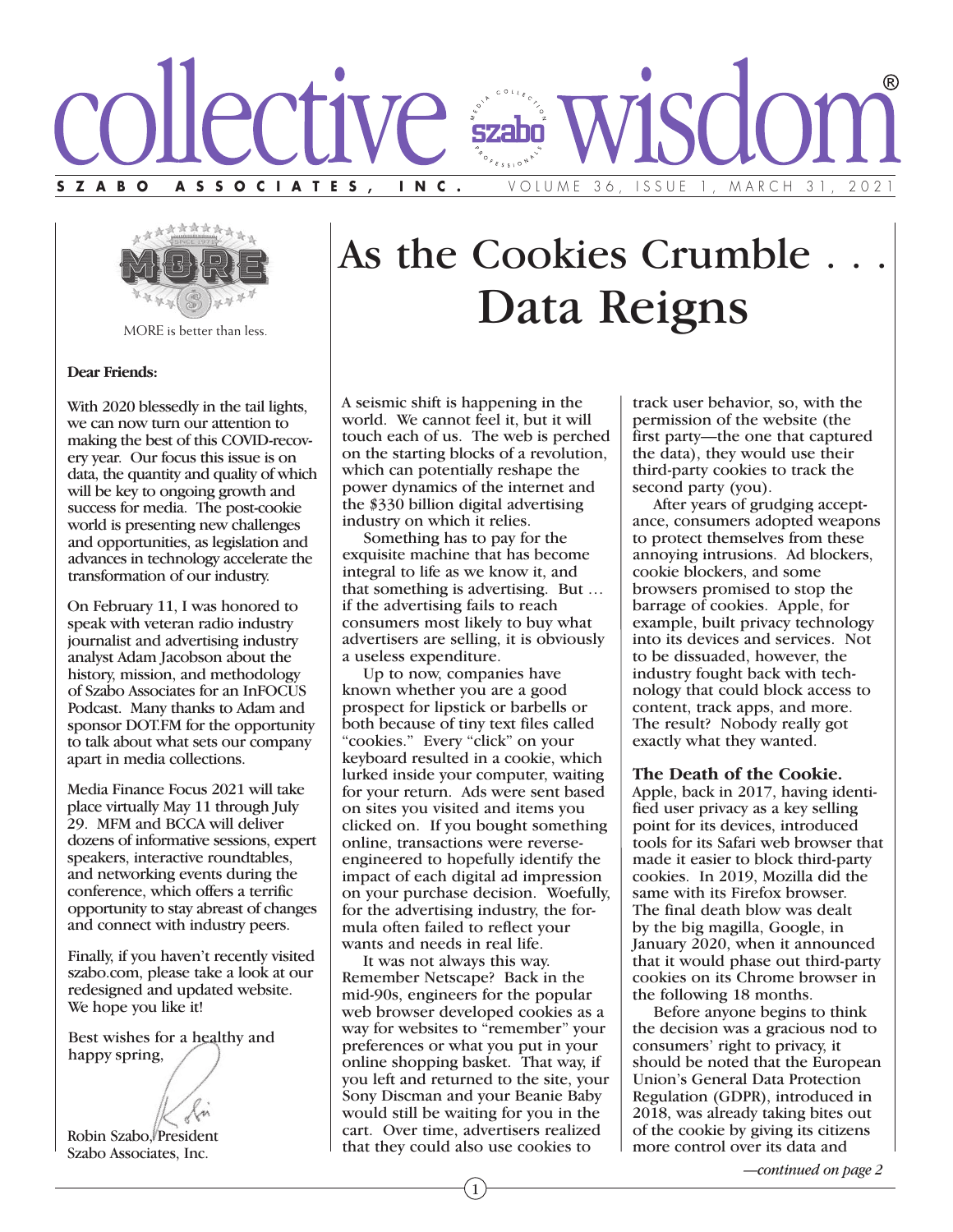



MORE is better than less.

#### **Dear Friends:**

With 2020 blessedly in the tail lights, we can now turn our attention to making the best of this COVID-recovery year. Our focus this issue is on data, the quantity and quality of which will be key to ongoing growth and success for media. The post-cookie world is presenting new challenges and opportunities, as legislation and advances in technology accelerate the transformation of our industry.

On February 11, I was honored to speak with veteran radio industry journalist and advertising industry analyst Adam Jacobson about the history, mission, and methodology of Szabo Associates for an InFOCUS Podcast. Many thanks to Adam and sponsor DOT.FM for the opportunity to talk about what sets our company apart in media collections.

Media Finance Focus 2021 will take place virtually May 11 through July 29. MFM and BCCA will deliver dozens of informative sessions, expert speakers, interactive roundtables, and networking events during the conference, which offers a terrific opportunity to stay abreast of changes and connect with industry peers.

Finally, if you haven't recently visited szabo.com, please take a look at our redesigned and updated website. We hope you like it!

Best wishes for a healthy and happy spring.

Robin Szabo, President Szabo Associates, Inc.

# As the Cookies Crumble Data Reigns

A seismic shift is happening in the world. We cannot feel it, but it will touch each of us. The web is perched on the starting blocks of a revolution, which can potentially reshape the power dynamics of the internet and the \$330 billion digital advertising industry on which it relies.

 Something has to pay for the exquisite machine that has become integral to life as we know it, and that something is advertising. But … if the advertising fails to reach consumers most likely to buy what advertisers are selling, it is obviously a useless expenditure.

 Up to now, companies have known whether you are a good prospect for lipstick or barbells or both because of tiny text files called "cookies." Every "click" on your keyboard resulted in a cookie, which lurked inside your computer, waiting for your return. Ads were sent based on sites you visited and items you clicked on. If you bought something online, transactions were reverseengineered to hopefully identify the impact of each digital ad impression on your purchase decision. Woefully, for the advertising industry, the formula often failed to reflect your wants and needs in real life.

 It was not always this way. Remember Netscape? Back in the mid-90s, engineers for the popular web browser developed cookies as a way for websites to "remember" your preferences or what you put in your online shopping basket. That way, if you left and returned to the site, your Sony Discman and your Beanie Baby would still be waiting for you in the cart. Over time, advertisers realized that they could also use cookies to

track user behavior, so, with the permission of the website (the first party—the one that captured the data), they would use their third-party cookies to track the second party (you).

 After years of grudging acceptance, consumers adopted weapons to protect themselves from these annoying intrusions. Ad blockers, cookie blockers, and some browsers promised to stop the barrage of cookies. Apple, for example, built privacy technology into its devices and services. Not to be dissuaded, however, the industry fought back with technology that could block access to content, track apps, and more. The result? Nobody really got exactly what they wanted.

#### **The Death of the Cookie.**

Apple, back in 2017, having identified user privacy as a key selling point for its devices, introduced tools for its Safari web browser that made it easier to block third-party cookies. In 2019, Mozilla did the same with its Firefox browser. The final death blow was dealt by the big magilla, Google, in January 2020, when it announced that it would phase out third-party cookies on its Chrome browser in the following 18 months.

 Before anyone begins to think the decision was a gracious nod to consumers' right to privacy, it should be noted that the European Union's General Data Protection Regulation (GDPR), introduced in 2018, was already taking bites out of the cookie by giving its citizens more control over its data and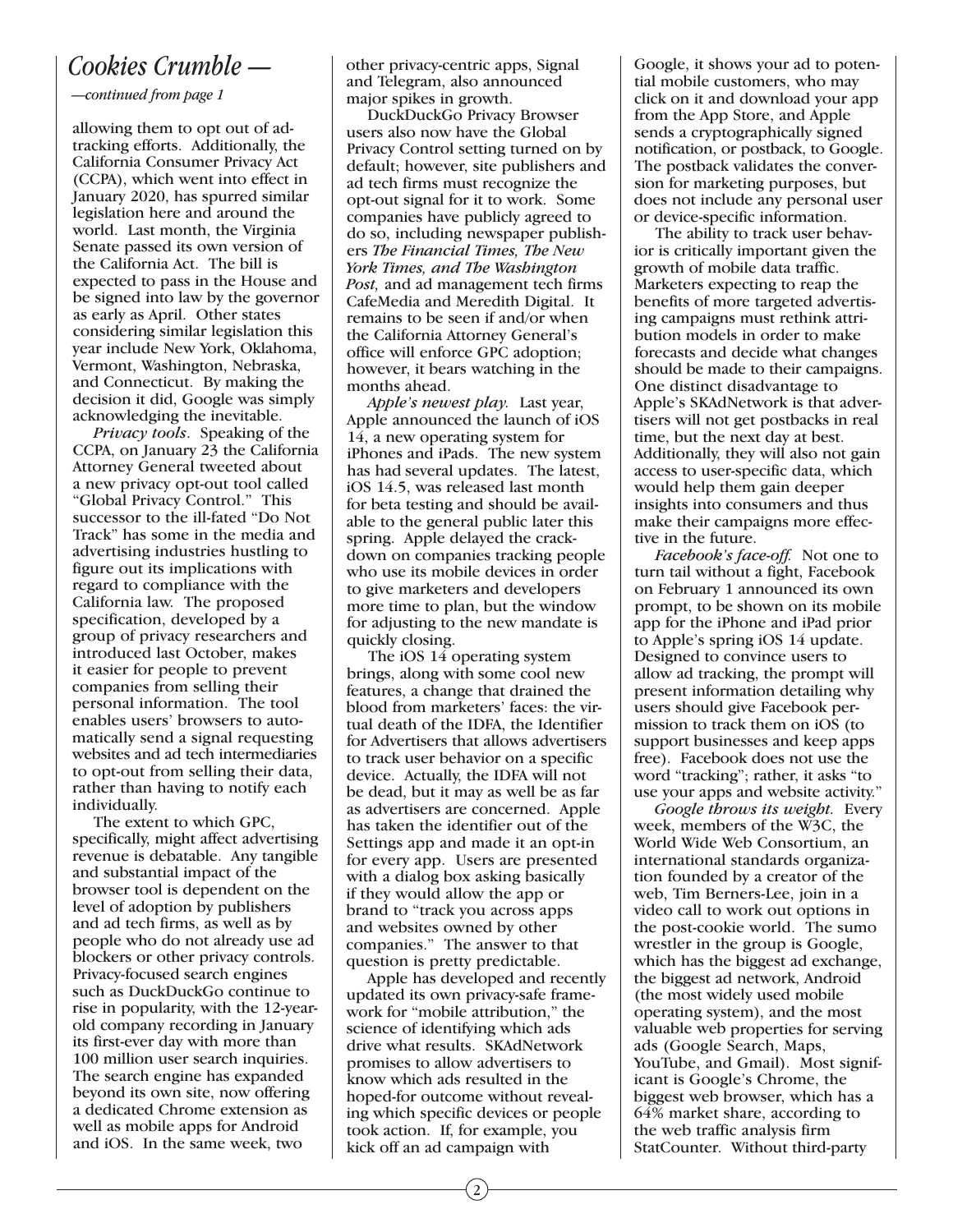### *Cookies Crumble —*

*—continued from page 1*

allowing them to opt out of adtracking efforts. Additionally, the California Consumer Privacy Act (CCPA), which went into effect in January 2020, has spurred similar legislation here and around the world. Last month, the Virginia Senate passed its own version of the California Act. The bill is expected to pass in the House and be signed into law by the governor as early as April. Other states considering similar legislation this year include New York, Oklahoma, Vermont, Washington, Nebraska, and Connecticut. By making the decision it did, Google was simply acknowledging the inevitable.

 *Privacy tools*. Speaking of the CCPA, on January 23 the California Attorney General tweeted about a new privacy opt-out tool called "Global Privacy Control." This successor to the ill-fated "Do Not Track" has some in the media and advertising industries hustling to figure out its implications with regard to compliance with the California law. The proposed specification, developed by a group of privacy researchers and introduced last October, makes it easier for people to prevent companies from selling their personal information. The tool enables users' browsers to automatically send a signal requesting websites and ad tech intermediaries to opt-out from selling their data, rather than having to notify each individually.

 The extent to which GPC, specifically, might affect advertising revenue is debatable. Any tangible and substantial impact of the browser tool is dependent on the level of adoption by publishers and ad tech firms, as well as by people who do not already use ad blockers or other privacy controls. Privacy-focused search engines such as DuckDuckGo continue to rise in popularity, with the 12-yearold company recording in January its first-ever day with more than 100 million user search inquiries. The search engine has expanded beyond its own site, now offering a dedicated Chrome extension as well as mobile apps for Android and iOS. In the same week, two

other privacy-centric apps, Signal and Telegram, also announced major spikes in growth.

 DuckDuckGo Privacy Browser users also now have the Global Privacy Control setting turned on by default; however, site publishers and ad tech firms must recognize the opt-out signal for it to work. Some companies have publicly agreed to do so, including newspaper publishers *The Financial Times, The New York Times, and The Washington Post,* and ad management tech firms CafeMedia and Meredith Digital. It remains to be seen if and/or when the California Attorney General's office will enforce GPC adoption; however, it bears watching in the months ahead.

 *Apple's newest play.* Last year, Apple announced the launch of iOS 14, a new operating system for iPhones and iPads. The new system has had several updates. The latest, iOS 14.5, was released last month for beta testing and should be available to the general public later this spring. Apple delayed the crackdown on companies tracking people who use its mobile devices in order to give marketers and developers more time to plan, but the window for adjusting to the new mandate is quickly closing.

 The iOS 14 operating system brings, along with some cool new features, a change that drained the blood from marketers' faces: the virtual death of the IDFA, the Identifier for Advertisers that allows advertisers to track user behavior on a specific device. Actually, the IDFA will not be dead, but it may as well be as far as advertisers are concerned. Apple has taken the identifier out of the Settings app and made it an opt-in for every app. Users are presented with a dialog box asking basically if they would allow the app or brand to "track you across apps and websites owned by other companies." The answer to that question is pretty predictable.

 Apple has developed and recently updated its own privacy-safe framework for "mobile attribution," the science of identifying which ads drive what results. SKAdNetwork promises to allow advertisers to know which ads resulted in the hoped-for outcome without revealing which specific devices or people took action. If, for example, you kick off an ad campaign with

Google, it shows your ad to potential mobile customers, who may click on it and download your app from the App Store, and Apple sends a cryptographically signed notification, or postback, to Google. The postback validates the conversion for marketing purposes, but does not include any personal user or device-specific information.

 The ability to track user behavior is critically important given the growth of mobile data traffic. Marketers expecting to reap the benefits of more targeted advertising campaigns must rethink attribution models in order to make forecasts and decide what changes should be made to their campaigns. One distinct disadvantage to Apple's SKAdNetwork is that advertisers will not get postbacks in real time, but the next day at best. Additionally, they will also not gain access to user-specific data, which would help them gain deeper insights into consumers and thus make their campaigns more effective in the future.

 *Facebook's face-off.* Not one to turn tail without a fight, Facebook on February 1 announced its own prompt, to be shown on its mobile app for the iPhone and iPad prior to Apple's spring iOS 14 update. Designed to convince users to allow ad tracking, the prompt will present information detailing why users should give Facebook permission to track them on iOS (to support businesses and keep apps free). Facebook does not use the word "tracking"; rather, it asks "to use your apps and website activity."

 *Google throws its weight.* Every week, members of the W3C, the World Wide Web Consortium, an international standards organization founded by a creator of the web, Tim Berners-Lee, join in a video call to work out options in the post-cookie world. The sumo wrestler in the group is Google, which has the biggest ad exchange, the biggest ad network, Android (the most widely used mobile operating system), and the most valuable web properties for serving ads (Google Search, Maps, YouTube, and Gmail). Most significant is Google's Chrome, the biggest web browser, which has a 64% market share, according to the web traffic analysis firm StatCounter. Without third-party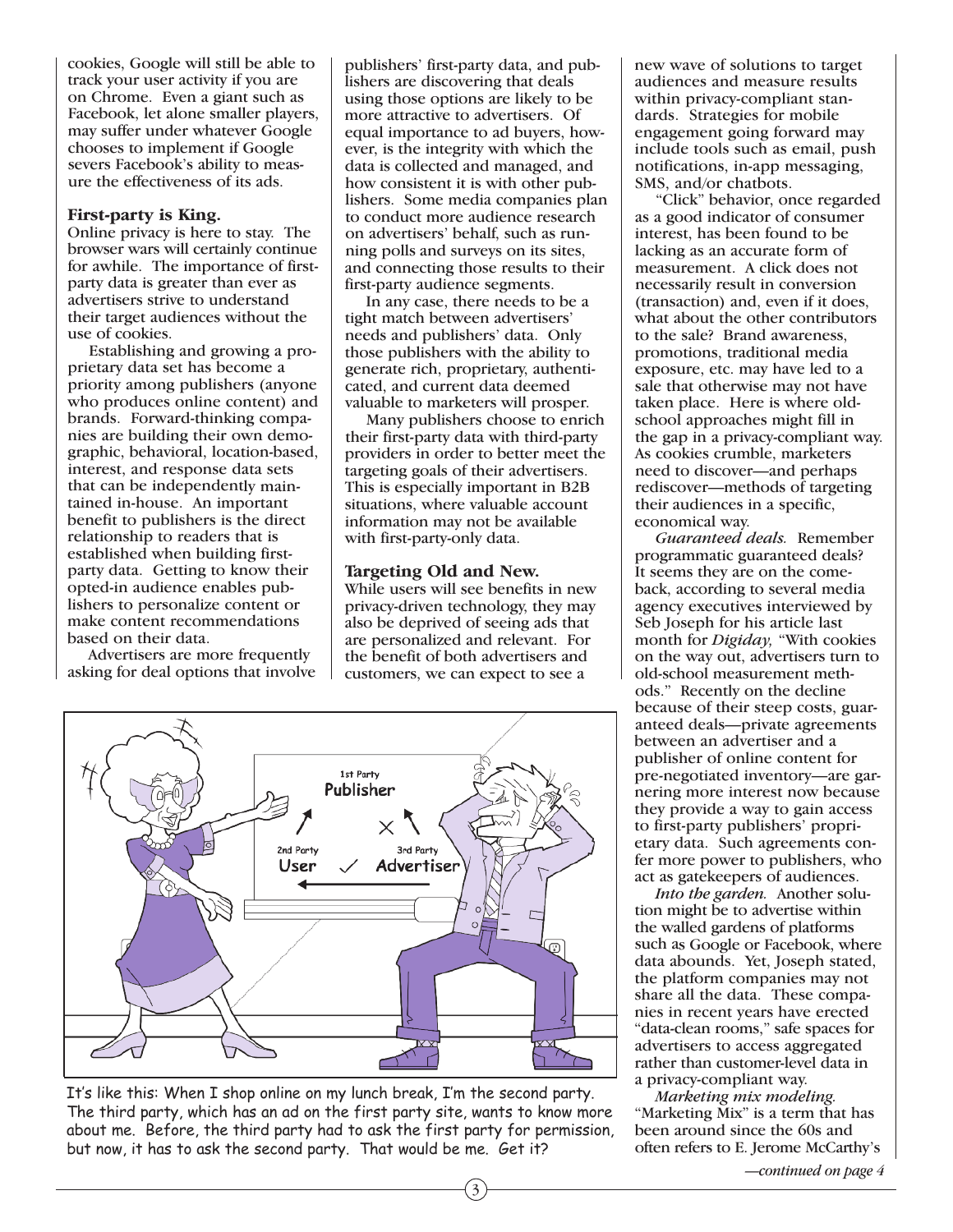cookies, Google will still be able to track your user activity if you are on Chrome. Even a giant such as Facebook, let alone smaller players, may suffer under whatever Google chooses to implement if Google severs Facebook's ability to measure the effectiveness of its ads.

#### **First-party is King.**

Online privacy is here to stay. The browser wars will certainly continue for awhile. The importance of firstparty data is greater than ever as advertisers strive to understand their target audiences without the use of cookies.

 Establishing and growing a proprietary data set has become a priority among publishers (anyone who produces online content) and brands. Forward-thinking companies are building their own demographic, behavioral, location-based, interest, and response data sets that can be independently maintained in-house. An important benefit to publishers is the direct relationship to readers that is established when building firstparty data. Getting to know their opted-in audience enables publishers to personalize content or make content recommendations based on their data.

 Advertisers are more frequently asking for deal options that involve

publishers' first-party data, and publishers are discovering that deals using those options are likely to be more attractive to advertisers. Of equal importance to ad buyers, however, is the integrity with which the data is collected and managed, and how consistent it is with other publishers. Some media companies plan to conduct more audience research on advertisers' behalf, such as running polls and surveys on its sites, and connecting those results to their first-party audience segments.

 In any case, there needs to be a tight match between advertisers' needs and publishers' data. Only those publishers with the ability to generate rich, proprietary, authenticated, and current data deemed valuable to marketers will prosper.

 Many publishers choose to enrich their first-party data with third-party providers in order to better meet the targeting goals of their advertisers. This is especially important in B2B situations, where valuable account information may not be available with first-party-only data.

#### **Targeting Old and New.**

While users will see benefits in new privacy-driven technology, they may also be deprived of seeing ads that are personalized and relevant. For the benefit of both advertisers and customers, we can expect to see a



It's like this: When I shop online on my lunch break, I'm the second party. The third party, which has an ad on the first party site, wants to know more about me. Before, the third party had to ask the first party for permission, but now, it has to ask the second party. That would be me. Get it?

new wave of solutions to target audiences and measure results within privacy-compliant standards. Strategies for mobile engagement going forward may include tools such as email, push notifications, in-app messaging, SMS, and/or chatbots.

 "Click" behavior, once regarded as a good indicator of consumer interest, has been found to be lacking as an accurate form of measurement. A click does not necessarily result in conversion (transaction) and, even if it does, what about the other contributors to the sale? Brand awareness, promotions, traditional media exposure, etc. may have led to a sale that otherwise may not have taken place. Here is where oldschool approaches might fill in the gap in a privacy-compliant way. As cookies crumble, marketers need to discover—and perhaps rediscover—methods of targeting their audiences in a specific, economical way.

 *Guaranteed deals.* Remember programmatic guaranteed deals? It seems they are on the comeback, according to several media agency executives interviewed by Seb Joseph for his article last month for *Digiday,* "With cookies on the way out, advertisers turn to old-school measurement methods." Recently on the decline because of their steep costs, guaranteed deals—private agreements between an advertiser and a publisher of online content for pre-negotiated inventory—are garnering more interest now because they provide a way to gain access to first-party publishers' proprietary data. Such agreements confer more power to publishers, who act as gatekeepers of audiences.

 *Into the garden.* Another solution might be to advertise within the walled gardens of platforms such as Google or Facebook, where data abounds. Yet, Joseph stated, the platform companies may not share all the data. These companies in recent years have erected "data-clean rooms," safe spaces for advertisers to access aggregated rather than customer-level data in a privacy-compliant way.

 *Marketing mix modeling.* "Marketing Mix" is a term that has been around since the 60s and often refers to E. Jerome McCarthy's